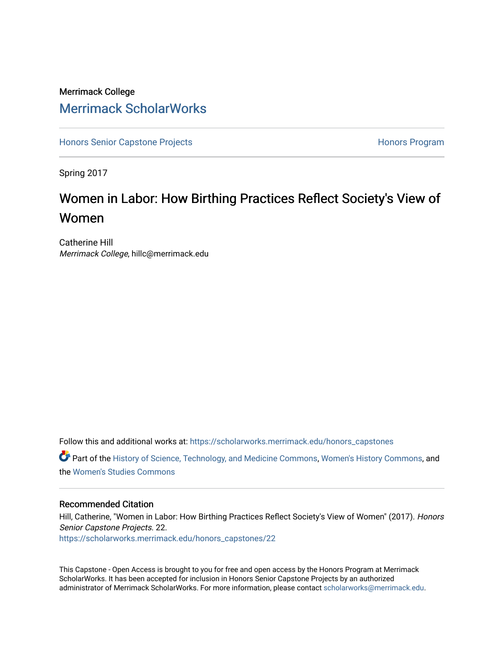### Merrimack College [Merrimack ScholarWorks](https://scholarworks.merrimack.edu/)

[Honors Senior Capstone Projects](https://scholarworks.merrimack.edu/honors_capstones) **Honors Program** Honors Program

Spring 2017

## Women in Labor: How Birthing Practices Reflect Society's View of Women

Catherine Hill Merrimack College, hillc@merrimack.edu

Follow this and additional works at: [https://scholarworks.merrimack.edu/honors\\_capstones](https://scholarworks.merrimack.edu/honors_capstones?utm_source=scholarworks.merrimack.edu%2Fhonors_capstones%2F22&utm_medium=PDF&utm_campaign=PDFCoverPages)

Part of the [History of Science, Technology, and Medicine Commons,](http://network.bepress.com/hgg/discipline/500?utm_source=scholarworks.merrimack.edu%2Fhonors_capstones%2F22&utm_medium=PDF&utm_campaign=PDFCoverPages) [Women's History Commons](http://network.bepress.com/hgg/discipline/507?utm_source=scholarworks.merrimack.edu%2Fhonors_capstones%2F22&utm_medium=PDF&utm_campaign=PDFCoverPages), and the [Women's Studies Commons](http://network.bepress.com/hgg/discipline/561?utm_source=scholarworks.merrimack.edu%2Fhonors_capstones%2F22&utm_medium=PDF&utm_campaign=PDFCoverPages) 

#### Recommended Citation

Hill, Catherine, "Women in Labor: How Birthing Practices Reflect Society's View of Women" (2017). Honors Senior Capstone Projects. 22. [https://scholarworks.merrimack.edu/honors\\_capstones/22](https://scholarworks.merrimack.edu/honors_capstones/22?utm_source=scholarworks.merrimack.edu%2Fhonors_capstones%2F22&utm_medium=PDF&utm_campaign=PDFCoverPages) 

This Capstone - Open Access is brought to you for free and open access by the Honors Program at Merrimack ScholarWorks. It has been accepted for inclusion in Honors Senior Capstone Projects by an authorized administrator of Merrimack ScholarWorks. For more information, please contact [scholarworks@merrimack.edu](mailto:scholarworks@merrimack.edu).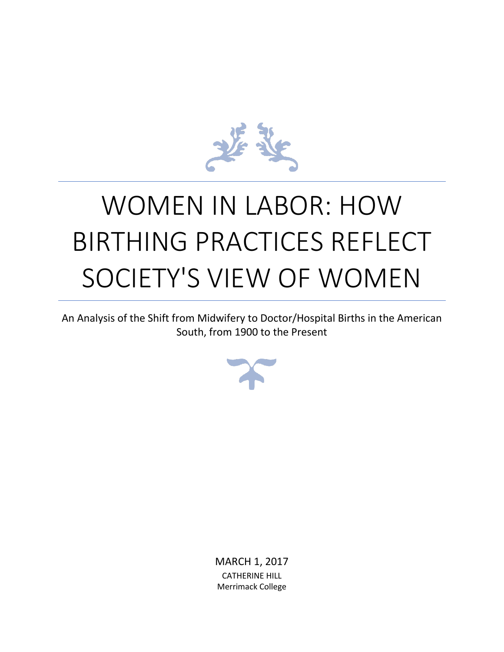

# WOMEN IN LABOR: HOW BIRTHING PRACTICES REFLECT SOCIETY'S VIEW OF WOMEN

An Analysis of the Shift from Midwifery to Doctor/Hospital Births in the American South, from 1900 to the Present



MARCH 1, 2017 CATHERINE HILL Merrimack College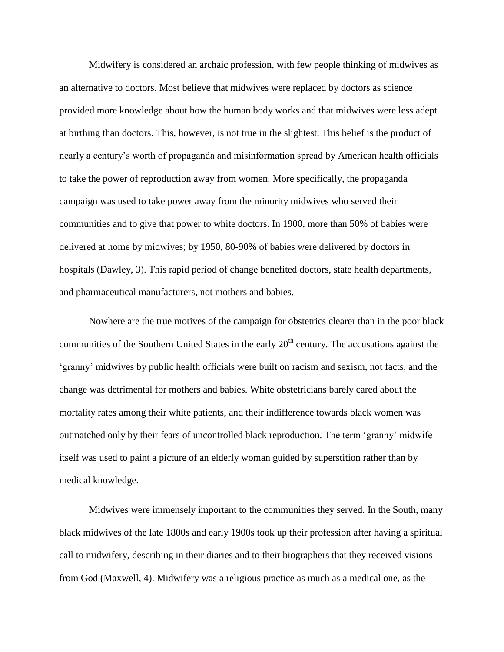Midwifery is considered an archaic profession, with few people thinking of midwives as an alternative to doctors. Most believe that midwives were replaced by doctors as science provided more knowledge about how the human body works and that midwives were less adept at birthing than doctors. This, however, is not true in the slightest. This belief is the product of nearly a century's worth of propaganda and misinformation spread by American health officials to take the power of reproduction away from women. More specifically, the propaganda campaign was used to take power away from the minority midwives who served their communities and to give that power to white doctors. In 1900, more than 50% of babies were delivered at home by midwives; by 1950, 80-90% of babies were delivered by doctors in hospitals (Dawley, 3). This rapid period of change benefited doctors, state health departments, and pharmaceutical manufacturers, not mothers and babies.

Nowhere are the true motives of the campaign for obstetrics clearer than in the poor black communities of the Southern United States in the early  $20<sup>th</sup>$  century. The accusations against the 'granny' midwives by public health officials were built on racism and sexism, not facts, and the change was detrimental for mothers and babies. White obstetricians barely cared about the mortality rates among their white patients, and their indifference towards black women was outmatched only by their fears of uncontrolled black reproduction. The term 'granny' midwife itself was used to paint a picture of an elderly woman guided by superstition rather than by medical knowledge.

Midwives were immensely important to the communities they served. In the South, many black midwives of the late 1800s and early 1900s took up their profession after having a spiritual call to midwifery, describing in their diaries and to their biographers that they received visions from God (Maxwell, 4). Midwifery was a religious practice as much as a medical one, as the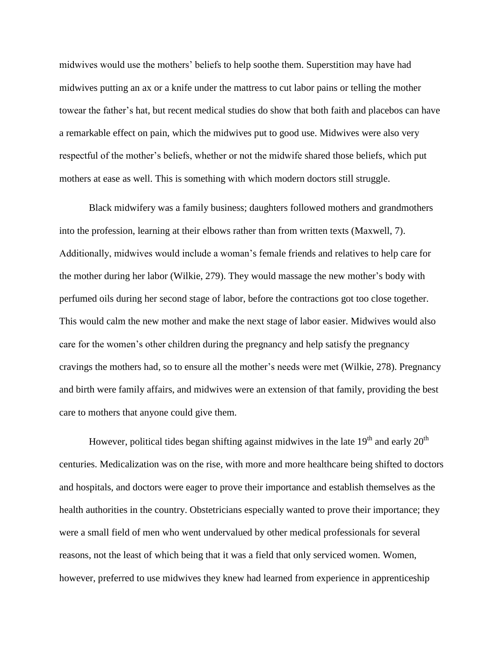midwives would use the mothers' beliefs to help soothe them. Superstition may have had midwives putting an ax or a knife under the mattress to cut labor pains or telling the mother towear the father's hat, but recent medical studies do show that both faith and placebos can have a remarkable effect on pain, which the midwives put to good use. Midwives were also very respectful of the mother's beliefs, whether or not the midwife shared those beliefs, which put mothers at ease as well. This is something with which modern doctors still struggle.

Black midwifery was a family business; daughters followed mothers and grandmothers into the profession, learning at their elbows rather than from written texts (Maxwell, 7). Additionally, midwives would include a woman's female friends and relatives to help care for the mother during her labor (Wilkie, 279). They would massage the new mother's body with perfumed oils during her second stage of labor, before the contractions got too close together. This would calm the new mother and make the next stage of labor easier. Midwives would also care for the women's other children during the pregnancy and help satisfy the pregnancy cravings the mothers had, so to ensure all the mother's needs were met (Wilkie, 278). Pregnancy and birth were family affairs, and midwives were an extension of that family, providing the best care to mothers that anyone could give them.

However, political tides began shifting against midwives in the late  $19<sup>th</sup>$  and early  $20<sup>th</sup>$ centuries. Medicalization was on the rise, with more and more healthcare being shifted to doctors and hospitals, and doctors were eager to prove their importance and establish themselves as the health authorities in the country. Obstetricians especially wanted to prove their importance; they were a small field of men who went undervalued by other medical professionals for several reasons, not the least of which being that it was a field that only serviced women. Women, however, preferred to use midwives they knew had learned from experience in apprenticeship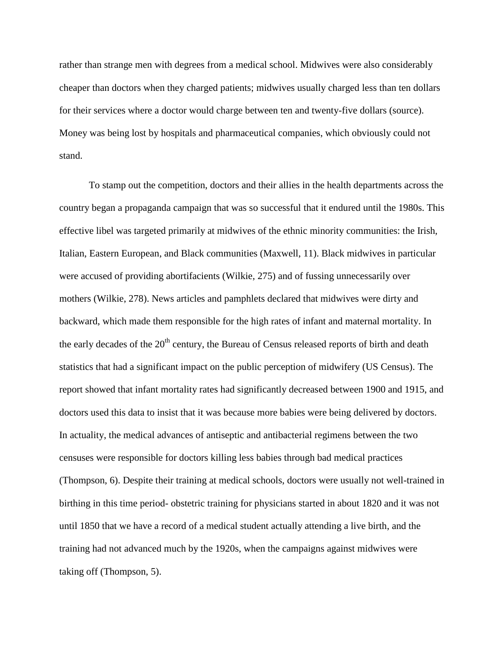rather than strange men with degrees from a medical school. Midwives were also considerably cheaper than doctors when they charged patients; midwives usually charged less than ten dollars for their services where a doctor would charge between ten and twenty-five dollars (source). Money was being lost by hospitals and pharmaceutical companies, which obviously could not stand.

To stamp out the competition, doctors and their allies in the health departments across the country began a propaganda campaign that was so successful that it endured until the 1980s. This effective libel was targeted primarily at midwives of the ethnic minority communities: the Irish, Italian, Eastern European, and Black communities (Maxwell, 11). Black midwives in particular were accused of providing abortifacients (Wilkie, 275) and of fussing unnecessarily over mothers (Wilkie, 278). News articles and pamphlets declared that midwives were dirty and backward, which made them responsible for the high rates of infant and maternal mortality. In the early decades of the 20<sup>th</sup> century, the Bureau of Census released reports of birth and death statistics that had a significant impact on the public perception of midwifery (US Census). The report showed that infant mortality rates had significantly decreased between 1900 and 1915, and doctors used this data to insist that it was because more babies were being delivered by doctors. In actuality, the medical advances of antiseptic and antibacterial regimens between the two censuses were responsible for doctors killing less babies through bad medical practices (Thompson, 6). Despite their training at medical schools, doctors were usually not well-trained in birthing in this time period- obstetric training for physicians started in about 1820 and it was not until 1850 that we have a record of a medical student actually attending a live birth, and the training had not advanced much by the 1920s, when the campaigns against midwives were taking off (Thompson, 5).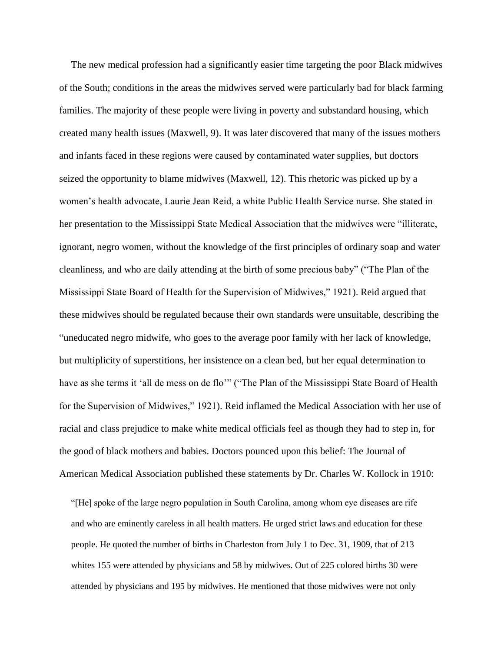The new medical profession had a significantly easier time targeting the poor Black midwives of the South; conditions in the areas the midwives served were particularly bad for black farming families. The majority of these people were living in poverty and substandard housing, which created many health issues (Maxwell, 9). It was later discovered that many of the issues mothers and infants faced in these regions were caused by contaminated water supplies, but doctors seized the opportunity to blame midwives (Maxwell, 12). This rhetoric was picked up by a women's health advocate, Laurie Jean Reid, a white Public Health Service nurse. She stated in her presentation to the Mississippi State Medical Association that the midwives were "illiterate, ignorant, negro women, without the knowledge of the first principles of ordinary soap and water cleanliness, and who are daily attending at the birth of some precious baby" ("The Plan of the Mississippi State Board of Health for the Supervision of Midwives," 1921). Reid argued that these midwives should be regulated because their own standards were unsuitable, describing the "uneducated negro midwife, who goes to the average poor family with her lack of knowledge, but multiplicity of superstitions, her insistence on a clean bed, but her equal determination to have as she terms it 'all de mess on de flo'" ("The Plan of the Mississippi State Board of Health for the Supervision of Midwives," 1921). Reid inflamed the Medical Association with her use of racial and class prejudice to make white medical officials feel as though they had to step in, for the good of black mothers and babies. Doctors pounced upon this belief: The Journal of American Medical Association published these statements by Dr. Charles W. Kollock in 1910:

"[He] spoke of the large negro population in South Carolina, among whom eye diseases are rife and who are eminently careless in all health matters. He urged strict laws and education for these people. He quoted the number of births in Charleston from July 1 to Dec. 31, 1909, that of 213 whites 155 were attended by physicians and 58 by midwives. Out of 225 colored births 30 were attended by physicians and 195 by midwives. He mentioned that those midwives were not only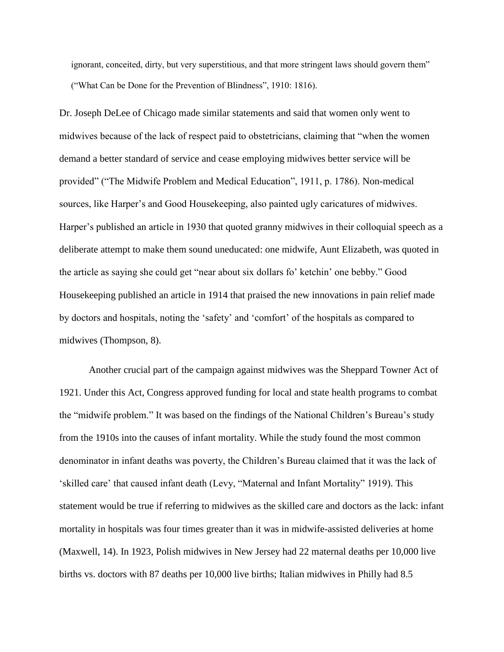ignorant, conceited, dirty, but very superstitious, and that more stringent laws should govern them" ("What Can be Done for the Prevention of Blindness", 1910: 1816).

Dr. Joseph DeLee of Chicago made similar statements and said that women only went to midwives because of the lack of respect paid to obstetricians, claiming that "when the women demand a better standard of service and cease employing midwives better service will be provided" ("The Midwife Problem and Medical Education", 1911, p. 1786). Non-medical sources, like Harper's and Good Housekeeping, also painted ugly caricatures of midwives. Harper's published an article in 1930 that quoted granny midwives in their colloquial speech as a deliberate attempt to make them sound uneducated: one midwife, Aunt Elizabeth, was quoted in the article as saying she could get "near about six dollars fo' ketchin' one bebby." Good Housekeeping published an article in 1914 that praised the new innovations in pain relief made by doctors and hospitals, noting the 'safety' and 'comfort' of the hospitals as compared to midwives (Thompson, 8).

Another crucial part of the campaign against midwives was the Sheppard Towner Act of 1921. Under this Act, Congress approved funding for local and state health programs to combat the "midwife problem." It was based on the findings of the National Children's Bureau's study from the 1910s into the causes of infant mortality. While the study found the most common denominator in infant deaths was poverty, the Children's Bureau claimed that it was the lack of 'skilled care' that caused infant death (Levy, "Maternal and Infant Mortality" 1919). This statement would be true if referring to midwives as the skilled care and doctors as the lack: infant mortality in hospitals was four times greater than it was in midwife-assisted deliveries at home (Maxwell, 14). In 1923, Polish midwives in New Jersey had 22 maternal deaths per 10,000 live births vs. doctors with 87 deaths per 10,000 live births; Italian midwives in Philly had 8.5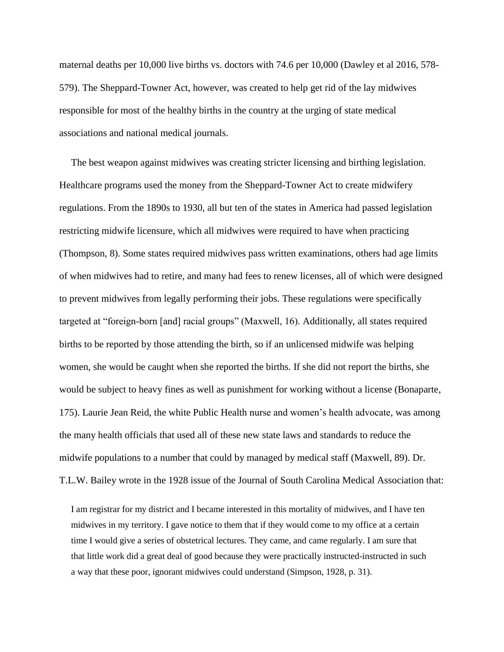maternal deaths per 10,000 live births vs. doctors with 74.6 per 10,000 (Dawley et al 2016, 578- 579). The Sheppard-Towner Act, however, was created to help get rid of the lay midwives responsible for most of the healthy births in the country at the urging of state medical associations and national medical journals.

The best weapon against midwives was creating stricter licensing and birthing legislation. Healthcare programs used the money from the Sheppard-Towner Act to create midwifery regulations. From the 1890s to 1930, all but ten of the states in America had passed legislation restricting midwife licensure, which all midwives were required to have when practicing (Thompson, 8). Some states required midwives pass written examinations, others had age limits of when midwives had to retire, and many had fees to renew licenses, all of which were designed to prevent midwives from legally performing their jobs. These regulations were specifically targeted at "foreign-born [and] racial groups" (Maxwell, 16). Additionally, all states required births to be reported by those attending the birth, so if an unlicensed midwife was helping women, she would be caught when she reported the births. If she did not report the births, she would be subject to heavy fines as well as punishment for working without a license (Bonaparte, 175). Laurie Jean Reid, the white Public Health nurse and women's health advocate, was among the many health officials that used all of these new state laws and standards to reduce the midwife populations to a number that could by managed by medical staff (Maxwell, 89). Dr. T.L.W. Bailey wrote in the 1928 issue of the Journal of South Carolina Medical Association that:

I am registrar for my district and I became interested in this mortality of midwives, and I have ten midwives in my territory. I gave notice to them that if they would come to my office at a certain time I would give a series of obstetrical lectures. They came, and came regularly. I am sure that that little work did a great deal of good because they were practically instructed-instructed in such a way that these poor, ignorant midwives could understand (Simpson, 1928, p. 31).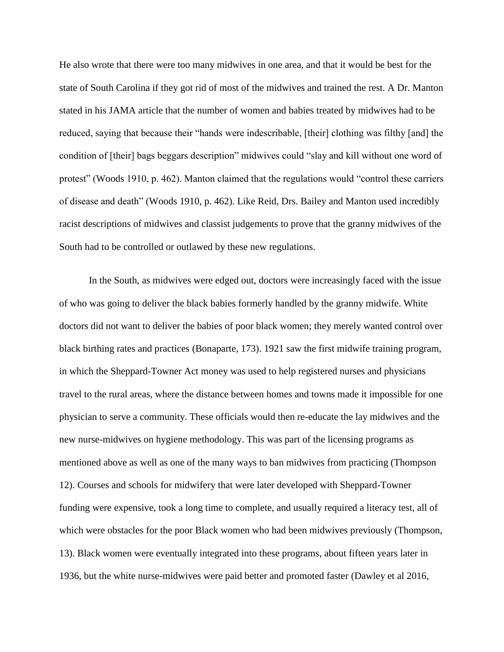He also wrote that there were too many midwives in one area, and that it would be best for the state of South Carolina if they got rid of most of the midwives and trained the rest. A Dr. Manton stated in his JAMA article that the number of women and babies treated by midwives had to be reduced, saying that because their "hands were indescribable, [their] clothing was filthy [and] the condition of [their] bags beggars description" midwives could "slay and kill without one word of protest" (Woods 1910, p. 462). Manton claimed that the regulations would "control these carriers of disease and death" (Woods 1910, p. 462). Like Reid, Drs. Bailey and Manton used incredibly racist descriptions of midwives and classist judgements to prove that the granny midwives of the South had to be controlled or outlawed by these new regulations.

In the South, as midwives were edged out, doctors were increasingly faced with the issue of who was going to deliver the black babies formerly handled by the granny midwife. White doctors did not want to deliver the babies of poor black women; they merely wanted control over black birthing rates and practices (Bonaparte, 173). 1921 saw the first midwife training program, in which the Sheppard-Towner Act money was used to help registered nurses and physicians travel to the rural areas, where the distance between homes and towns made it impossible for one physician to serve a community. These officials would then re-educate the lay midwives and the new nurse-midwives on hygiene methodology. This was part of the licensing programs as mentioned above as well as one of the many ways to ban midwives from practicing (Thompson 12). Courses and schools for midwifery that were later developed with Sheppard-Towner funding were expensive, took a long time to complete, and usually required a literacy test, all of which were obstacles for the poor Black women who had been midwives previously (Thompson, 13). Black women were eventually integrated into these programs, about fifteen years later in 1936, but the white nurse-midwives were paid better and promoted faster (Dawley et al 2016,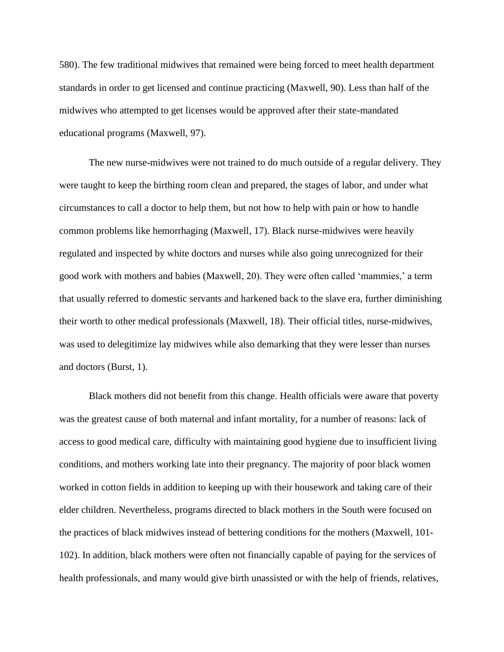580). The few traditional midwives that remained were being forced to meet health department standards in order to get licensed and continue practicing (Maxwell, 90). Less than half of the midwives who attempted to get licenses would be approved after their state-mandated educational programs (Maxwell, 97).

The new nurse-midwives were not trained to do much outside of a regular delivery. They were taught to keep the birthing room clean and prepared, the stages of labor, and under what circumstances to call a doctor to help them, but not how to help with pain or how to handle common problems like hemorrhaging (Maxwell, 17). Black nurse-midwives were heavily regulated and inspected by white doctors and nurses while also going unrecognized for their good work with mothers and babies (Maxwell, 20). They were often called 'mammies,' a term that usually referred to domestic servants and harkened back to the slave era, further diminishing their worth to other medical professionals (Maxwell, 18). Their official titles, nurse-midwives, was used to delegitimize lay midwives while also demarking that they were lesser than nurses and doctors (Burst, 1).

Black mothers did not benefit from this change. Health officials were aware that poverty was the greatest cause of both maternal and infant mortality, for a number of reasons: lack of access to good medical care, difficulty with maintaining good hygiene due to insufficient living conditions, and mothers working late into their pregnancy. The majority of poor black women worked in cotton fields in addition to keeping up with their housework and taking care of their elder children. Nevertheless, programs directed to black mothers in the South were focused on the practices of black midwives instead of bettering conditions for the mothers (Maxwell, 101- 102). In addition, black mothers were often not financially capable of paying for the services of health professionals, and many would give birth unassisted or with the help of friends, relatives,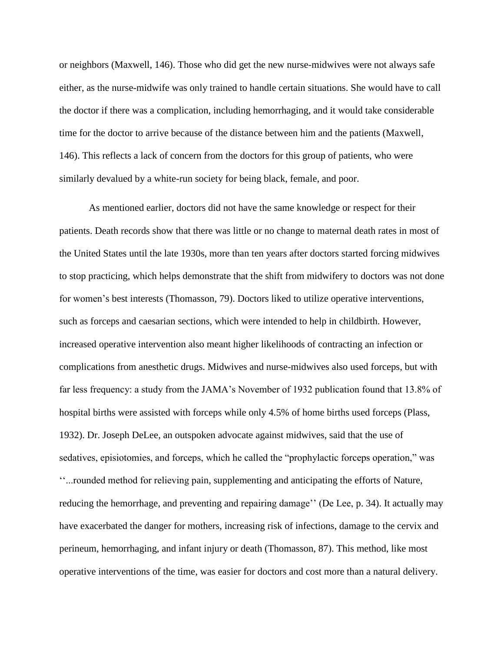or neighbors (Maxwell, 146). Those who did get the new nurse-midwives were not always safe either, as the nurse-midwife was only trained to handle certain situations. She would have to call the doctor if there was a complication, including hemorrhaging, and it would take considerable time for the doctor to arrive because of the distance between him and the patients (Maxwell, 146). This reflects a lack of concern from the doctors for this group of patients, who were similarly devalued by a white-run society for being black, female, and poor.

As mentioned earlier, doctors did not have the same knowledge or respect for their patients. Death records show that there was little or no change to maternal death rates in most of the United States until the late 1930s, more than ten years after doctors started forcing midwives to stop practicing, which helps demonstrate that the shift from midwifery to doctors was not done for women's best interests (Thomasson, 79). Doctors liked to utilize operative interventions, such as forceps and caesarian sections, which were intended to help in childbirth. However, increased operative intervention also meant higher likelihoods of contracting an infection or complications from anesthetic drugs. Midwives and nurse-midwives also used forceps, but with far less frequency: a study from the JAMA's November of 1932 publication found that 13.8% of hospital births were assisted with forceps while only 4.5% of home births used forceps (Plass, 1932). Dr. Joseph DeLee, an outspoken advocate against midwives, said that the use of sedatives, episiotomies, and forceps, which he called the "prophylactic forceps operation," was ''...rounded method for relieving pain, supplementing and anticipating the efforts of Nature, reducing the hemorrhage, and preventing and repairing damage'' (De Lee, p. 34). It actually may have exacerbated the danger for mothers, increasing risk of infections, damage to the cervix and perineum, hemorrhaging, and infant injury or death (Thomasson, 87). This method, like most operative interventions of the time, was easier for doctors and cost more than a natural delivery.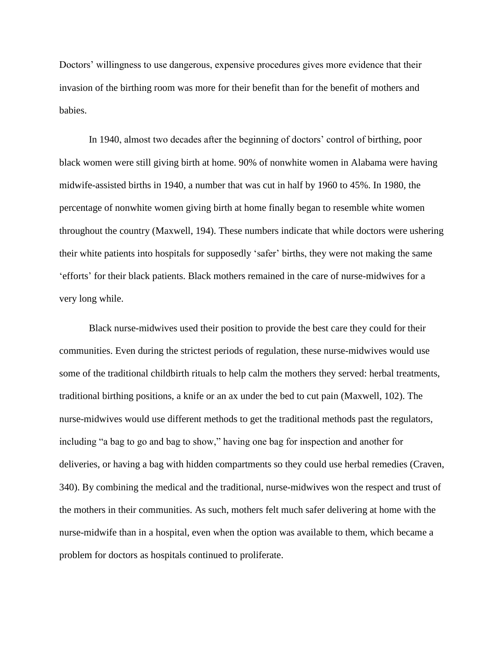Doctors' willingness to use dangerous, expensive procedures gives more evidence that their invasion of the birthing room was more for their benefit than for the benefit of mothers and babies.

In 1940, almost two decades after the beginning of doctors' control of birthing, poor black women were still giving birth at home. 90% of nonwhite women in Alabama were having midwife-assisted births in 1940, a number that was cut in half by 1960 to 45%. In 1980, the percentage of nonwhite women giving birth at home finally began to resemble white women throughout the country (Maxwell, 194). These numbers indicate that while doctors were ushering their white patients into hospitals for supposedly 'safer' births, they were not making the same 'efforts' for their black patients. Black mothers remained in the care of nurse-midwives for a very long while.

Black nurse-midwives used their position to provide the best care they could for their communities. Even during the strictest periods of regulation, these nurse-midwives would use some of the traditional childbirth rituals to help calm the mothers they served: herbal treatments, traditional birthing positions, a knife or an ax under the bed to cut pain (Maxwell, 102). The nurse-midwives would use different methods to get the traditional methods past the regulators, including "a bag to go and bag to show," having one bag for inspection and another for deliveries, or having a bag with hidden compartments so they could use herbal remedies (Craven, 340). By combining the medical and the traditional, nurse-midwives won the respect and trust of the mothers in their communities. As such, mothers felt much safer delivering at home with the nurse-midwife than in a hospital, even when the option was available to them, which became a problem for doctors as hospitals continued to proliferate.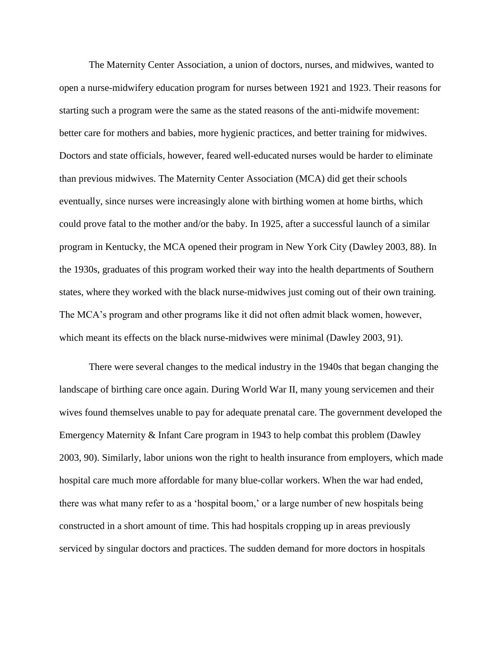The Maternity Center Association, a union of doctors, nurses, and midwives, wanted to open a nurse-midwifery education program for nurses between 1921 and 1923. Their reasons for starting such a program were the same as the stated reasons of the anti-midwife movement: better care for mothers and babies, more hygienic practices, and better training for midwives. Doctors and state officials, however, feared well-educated nurses would be harder to eliminate than previous midwives. The Maternity Center Association (MCA) did get their schools eventually, since nurses were increasingly alone with birthing women at home births, which could prove fatal to the mother and/or the baby. In 1925, after a successful launch of a similar program in Kentucky, the MCA opened their program in New York City (Dawley 2003, 88). In the 1930s, graduates of this program worked their way into the health departments of Southern states, where they worked with the black nurse-midwives just coming out of their own training. The MCA's program and other programs like it did not often admit black women, however, which meant its effects on the black nurse-midwives were minimal (Dawley 2003, 91).

There were several changes to the medical industry in the 1940s that began changing the landscape of birthing care once again. During World War II, many young servicemen and their wives found themselves unable to pay for adequate prenatal care. The government developed the Emergency Maternity & Infant Care program in 1943 to help combat this problem (Dawley 2003, 90). Similarly, labor unions won the right to health insurance from employers, which made hospital care much more affordable for many blue-collar workers. When the war had ended, there was what many refer to as a 'hospital boom,' or a large number of new hospitals being constructed in a short amount of time. This had hospitals cropping up in areas previously serviced by singular doctors and practices. The sudden demand for more doctors in hospitals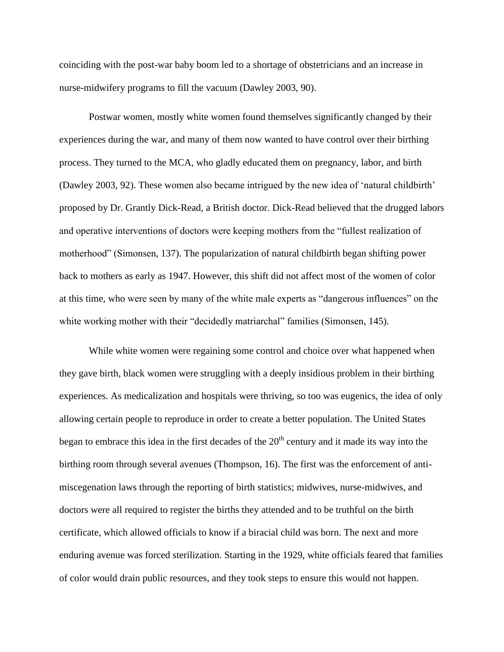coinciding with the post-war baby boom led to a shortage of obstetricians and an increase in nurse-midwifery programs to fill the vacuum (Dawley 2003, 90).

Postwar women, mostly white women found themselves significantly changed by their experiences during the war, and many of them now wanted to have control over their birthing process. They turned to the MCA, who gladly educated them on pregnancy, labor, and birth (Dawley 2003, 92). These women also became intrigued by the new idea of 'natural childbirth' proposed by Dr. Grantly Dick-Read, a British doctor. Dick-Read believed that the drugged labors and operative interventions of doctors were keeping mothers from the "fullest realization of motherhood" (Simonsen, 137). The popularization of natural childbirth began shifting power back to mothers as early as 1947. However, this shift did not affect most of the women of color at this time, who were seen by many of the white male experts as "dangerous influences" on the white working mother with their "decidedly matriarchal" families (Simonsen, 145).

While white women were regaining some control and choice over what happened when they gave birth, black women were struggling with a deeply insidious problem in their birthing experiences. As medicalization and hospitals were thriving, so too was eugenics, the idea of only allowing certain people to reproduce in order to create a better population. The United States began to embrace this idea in the first decades of the  $20<sup>th</sup>$  century and it made its way into the birthing room through several avenues (Thompson, 16). The first was the enforcement of antimiscegenation laws through the reporting of birth statistics; midwives, nurse-midwives, and doctors were all required to register the births they attended and to be truthful on the birth certificate, which allowed officials to know if a biracial child was born. The next and more enduring avenue was forced sterilization. Starting in the 1929, white officials feared that families of color would drain public resources, and they took steps to ensure this would not happen.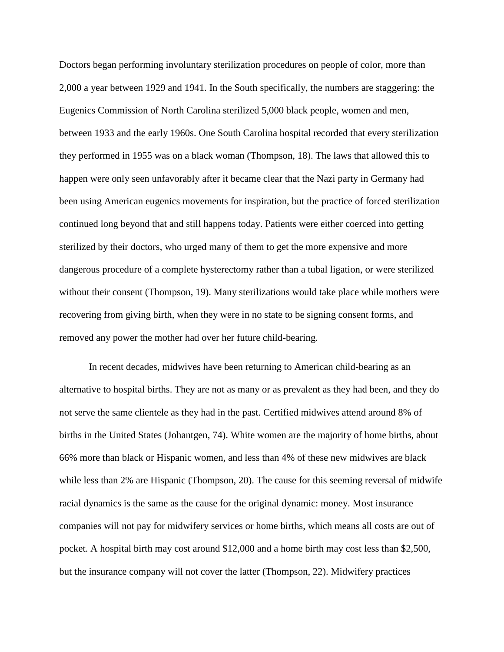Doctors began performing involuntary sterilization procedures on people of color, more than 2,000 a year between 1929 and 1941. In the South specifically, the numbers are staggering: the Eugenics Commission of North Carolina sterilized 5,000 black people, women and men, between 1933 and the early 1960s. One South Carolina hospital recorded that every sterilization they performed in 1955 was on a black woman (Thompson, 18). The laws that allowed this to happen were only seen unfavorably after it became clear that the Nazi party in Germany had been using American eugenics movements for inspiration, but the practice of forced sterilization continued long beyond that and still happens today. Patients were either coerced into getting sterilized by their doctors, who urged many of them to get the more expensive and more dangerous procedure of a complete hysterectomy rather than a tubal ligation, or were sterilized without their consent (Thompson, 19). Many sterilizations would take place while mothers were recovering from giving birth, when they were in no state to be signing consent forms, and removed any power the mother had over her future child-bearing.

In recent decades, midwives have been returning to American child-bearing as an alternative to hospital births. They are not as many or as prevalent as they had been, and they do not serve the same clientele as they had in the past. Certified midwives attend around 8% of births in the United States (Johantgen, 74). White women are the majority of home births, about 66% more than black or Hispanic women, and less than 4% of these new midwives are black while less than 2% are Hispanic (Thompson, 20). The cause for this seeming reversal of midwife racial dynamics is the same as the cause for the original dynamic: money. Most insurance companies will not pay for midwifery services or home births, which means all costs are out of pocket. A hospital birth may cost around \$12,000 and a home birth may cost less than \$2,500, but the insurance company will not cover the latter (Thompson, 22). Midwifery practices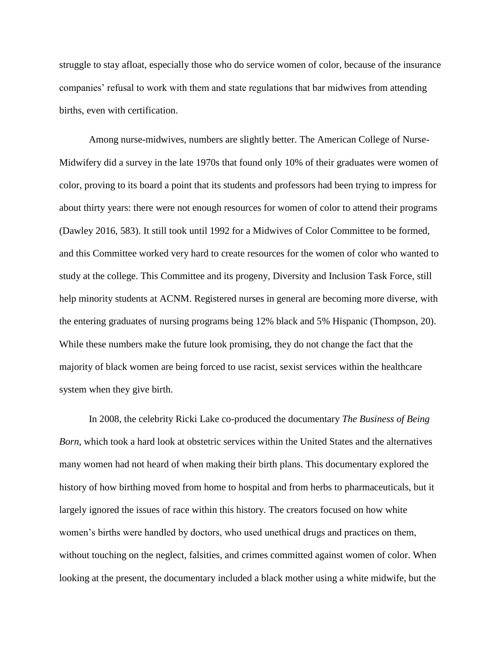struggle to stay afloat, especially those who do service women of color, because of the insurance companies' refusal to work with them and state regulations that bar midwives from attending births, even with certification.

Among nurse-midwives, numbers are slightly better. The American College of Nurse-Midwifery did a survey in the late 1970s that found only 10% of their graduates were women of color, proving to its board a point that its students and professors had been trying to impress for about thirty years: there were not enough resources for women of color to attend their programs (Dawley 2016, 583). It still took until 1992 for a Midwives of Color Committee to be formed, and this Committee worked very hard to create resources for the women of color who wanted to study at the college. This Committee and its progeny, Diversity and Inclusion Task Force, still help minority students at ACNM. Registered nurses in general are becoming more diverse, with the entering graduates of nursing programs being 12% black and 5% Hispanic (Thompson, 20). While these numbers make the future look promising, they do not change the fact that the majority of black women are being forced to use racist, sexist services within the healthcare system when they give birth.

In 2008, the celebrity Ricki Lake co-produced the documentary *The Business of Being Born*, which took a hard look at obstetric services within the United States and the alternatives many women had not heard of when making their birth plans. This documentary explored the history of how birthing moved from home to hospital and from herbs to pharmaceuticals, but it largely ignored the issues of race within this history. The creators focused on how white women's births were handled by doctors, who used unethical drugs and practices on them, without touching on the neglect, falsities, and crimes committed against women of color. When looking at the present, the documentary included a black mother using a white midwife, but the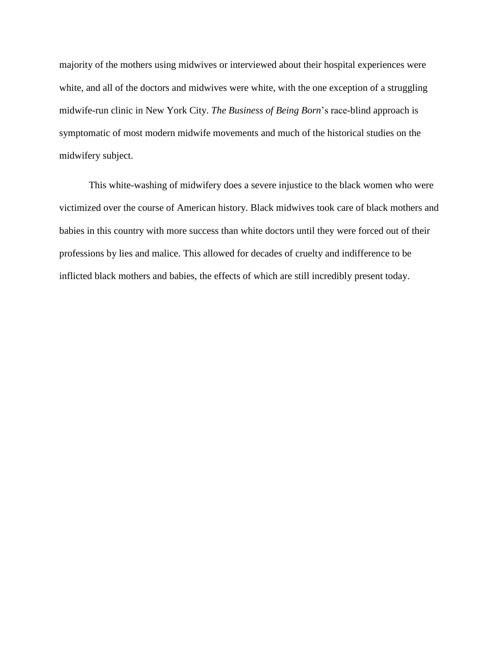majority of the mothers using midwives or interviewed about their hospital experiences were white, and all of the doctors and midwives were white, with the one exception of a struggling midwife-run clinic in New York City. *The Business of Being Born*'s race-blind approach is symptomatic of most modern midwife movements and much of the historical studies on the midwifery subject.

This white-washing of midwifery does a severe injustice to the black women who were victimized over the course of American history. Black midwives took care of black mothers and babies in this country with more success than white doctors until they were forced out of their professions by lies and malice. This allowed for decades of cruelty and indifference to be inflicted black mothers and babies, the effects of which are still incredibly present today.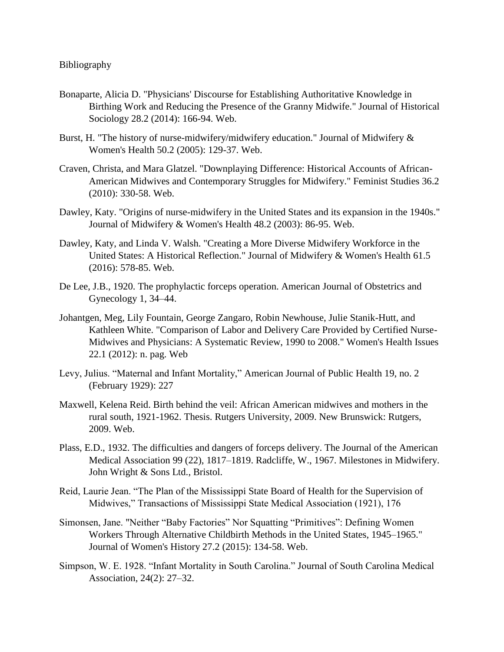#### Bibliography

- Bonaparte, Alicia D. "Physicians' Discourse for Establishing Authoritative Knowledge in Birthing Work and Reducing the Presence of the Granny Midwife." Journal of Historical Sociology 28.2 (2014): 166-94. Web.
- Burst, H. "The history of nurse-midwifery/midwifery education." Journal of Midwifery & Women's Health 50.2 (2005): 129-37. Web.
- Craven, Christa, and Mara Glatzel. "Downplaying Difference: Historical Accounts of African-American Midwives and Contemporary Struggles for Midwifery." Feminist Studies 36.2 (2010): 330-58. Web.
- Dawley, Katy. "Origins of nurse-midwifery in the United States and its expansion in the 1940s." Journal of Midwifery & Women's Health 48.2 (2003): 86-95. Web.
- Dawley, Katy, and Linda V. Walsh. "Creating a More Diverse Midwifery Workforce in the United States: A Historical Reflection." Journal of Midwifery & Women's Health 61.5 (2016): 578-85. Web.
- De Lee, J.B., 1920. The prophylactic forceps operation. American Journal of Obstetrics and Gynecology 1, 34–44.
- Johantgen, Meg, Lily Fountain, George Zangaro, Robin Newhouse, Julie Stanik-Hutt, and Kathleen White. "Comparison of Labor and Delivery Care Provided by Certified Nurse-Midwives and Physicians: A Systematic Review, 1990 to 2008." Women's Health Issues 22.1 (2012): n. pag. Web
- Levy, Julius. "Maternal and Infant Mortality," American Journal of Public Health 19, no. 2 (February 1929): 227
- Maxwell, Kelena Reid. Birth behind the veil: African American midwives and mothers in the rural south, 1921-1962. Thesis. Rutgers University, 2009. New Brunswick: Rutgers, 2009. Web.
- Plass, E.D., 1932. The difficulties and dangers of forceps delivery. The Journal of the American Medical Association 99 (22), 1817–1819. Radcliffe, W., 1967. Milestones in Midwifery. John Wright & Sons Ltd., Bristol.
- Reid, Laurie Jean. "The Plan of the Mississippi State Board of Health for the Supervision of Midwives," Transactions of Mississippi State Medical Association (1921), 176
- Simonsen, Jane. "Neither "Baby Factories" Nor Squatting "Primitives": Defining Women Workers Through Alternative Childbirth Methods in the United States, 1945–1965." Journal of Women's History 27.2 (2015): 134-58. Web.
- Simpson, W. E. 1928. "Infant Mortality in South Carolina." Journal of South Carolina Medical Association, 24(2): 27–32.